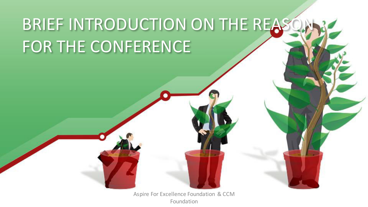# BRIEF INTRODUCTION ON THE REASO FOR THE CONFERENCE

Aspire For Excellence Foundation & CCM Foundation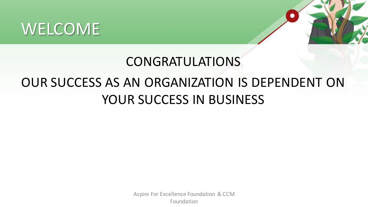#### WELCOME



# CONGRATULATIONS

#### OUR SUCCESS AS AN ORGANIZATION IS DEPENDENT ON YOUR SUCCESS IN BUSINESS

Aspire For Excellence Foundation & CCM Foundation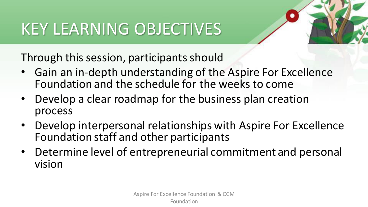## KEY LEARNING OBJECTIVES

Through this session, participants should

- Gain an in-depth understanding of the Aspire For Excellence Foundation and the schedule for the weeks to come
- Develop a clear roadmap for the business plan creation process
- Develop interpersonal relationships with Aspire For Excellence Foundation staff and other participants
- Determine level of entrepreneurial commitment and personal vision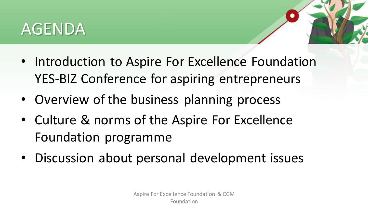#### AGENDA

- 
- Introduction to Aspire For Excellence Foundation YES-BIZ Conference for aspiring entrepreneurs
- Overview of the business planning process
- Culture & norms of the Aspire For Excellence Foundation programme
- Discussion about personal development issues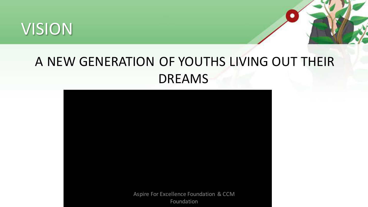



#### A NEW GENERATION OF YOUTHS LIVING OUT THEIR DREAMS

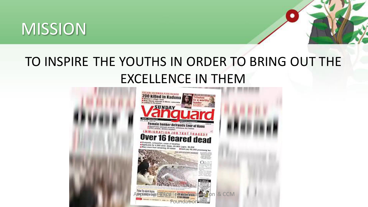#### **MISSION**



#### TO INSPIRE THE YOUTHS IN ORDER TO BRING OUT THE EXCELLENCE IN THEM

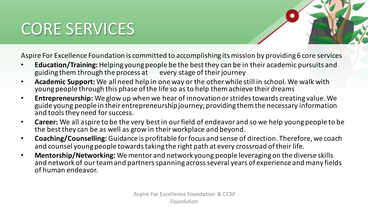### CORE SERVICES

Aspire For Excellence Foundation is committed to accomplishing its mission by providing 6 core services

- **Education/Training:** Helping young people be the best they can be in their academic pursuits and guiding them through the process at every stage of their journey
- **Academic Support:** We all need help in one way or the other while still in school. We walk with young people through this phase of the life so as to help them achieve their dreams
- **Entrepreneurship:** We glow up when we hear of innovation or strides towards creating value. We guide young people in their entrepreneurship journey; providing them the necessary information and tools they need for success.
- **Career:** We all aspire to be the very best in our field of endeavor and so we help young people to be the best they can be as well as grow in their workplace and beyond.
- **Coaching/Counselling:** Guidance is profitable for focus and sense of direction. Therefore, we coach and counsel young people towards taking the right path at every crossroad of their life.
- **Mentorship/Networking:** We mentor and network young people leveraging on the diverse skills and network of our team and partners spanning across several years of experience and many fields of human endeavor.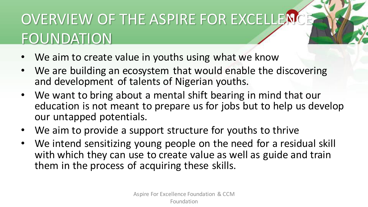### OVERVIEW OF THE ASPIRE FOR EXCELLENCE **FOUNDATION**

- We aim to create value in youths using what we know
- We are building an ecosystem that would enable the discovering and development of talents of Nigerian youths.
- We want to bring about a mental shift bearing in mind that our education is not meant to prepare us for jobs but to help us develop our untapped potentials.
- We aim to provide a support structure for youths to thrive
- We intend sensitizing young people on the need for a residual skill with which they can use to create value as well as guide and train them in the process of acquiring these skills.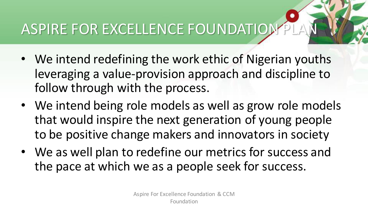## ASPIRE FOR EXCELLENCE FOUNDATION

- We intend redefining the work ethic of Nigerian youths leveraging a value-provision approach and discipline to follow through with the process.
- We intend being role models as well as grow role models that would inspire the next generation of young people to be positive change makers and innovators in society
- We as well plan to redefine our metrics for success and the pace at which we as a people seek for success.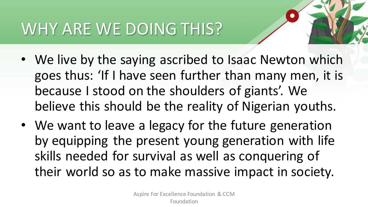## WHY ARE WE DOING THIS?

- We live by the saying ascribed to Isaac Newton which goes thus: 'If I have seen further than many men, it is because I stood on the shoulders of giants'. We believe this should be the reality of Nigerian youths.
- We want to leave a legacy for the future generation by equipping the present young generation with life skills needed for survival as well as conquering of their world so as to make massive impact in society.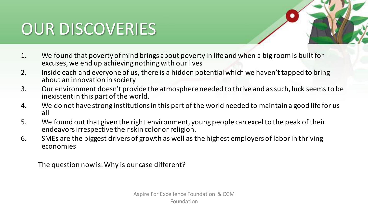### OUR DISCOVERIES

- 1. We found that poverty of mind brings about poverty in life and when a big room is built for excuses, we end up achieving nothing with our lives
- 2. Inside each and everyone of us, there is a hidden potential which we haven't tapped to bring about an innovation in society
- 3. Our environment doesn't provide the atmosphere needed to thrive and as such, luck seems to be inexistent in this part of the world.
- 4. We do not have strong institutions in this part of the world needed to maintain a good life for us all
- 5. We found out that given the right environment, young people can excel to the peak of their endeavors irrespective their skin color or religion.
- 6. SMEs are the biggest drivers of growth as well as the highest employers of labor in thriving economies

The question now is: Why is our case different?